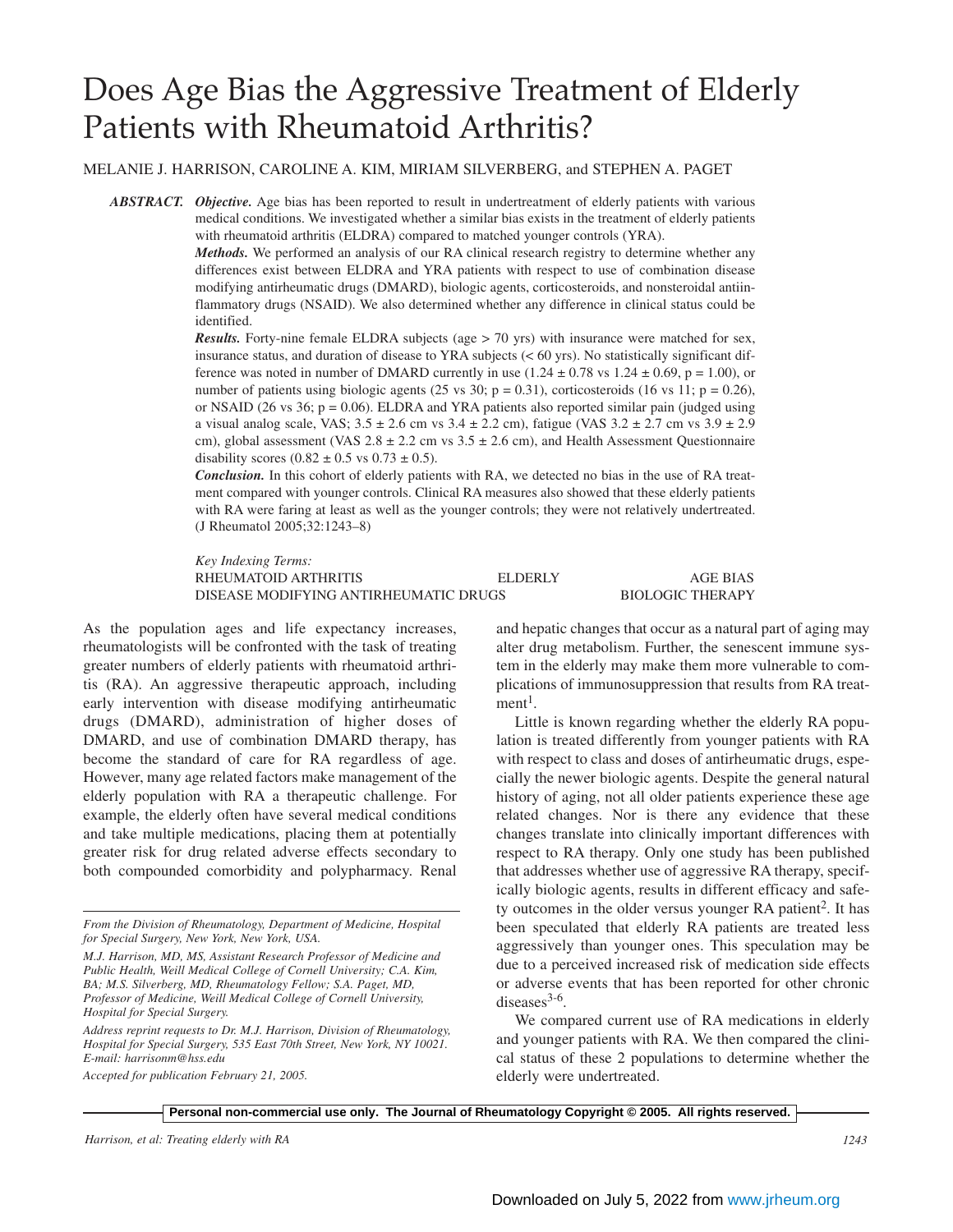# Does Age Bias the Aggressive Treatment of Elderly Patients with Rheumatoid Arthritis?

MELANIE J. HARRISON, CAROLINE A. KIM, MIRIAM SILVERBERG, and STEPHEN A. PAGET

*ABSTRACT. Objective.* Age bias has been reported to result in undertreatment of elderly patients with various medical conditions. We investigated whether a similar bias exists in the treatment of elderly patients with rheumatoid arthritis (ELDRA) compared to matched younger controls (YRA).

> *Methods.* We performed an analysis of our RA clinical research registry to determine whether any differences exist between ELDRA and YRA patients with respect to use of combination disease modifying antirheumatic drugs (DMARD), biologic agents, corticosteroids, and nonsteroidal antiinflammatory drugs (NSAID). We also determined whether any difference in clinical status could be identified.

> *Results.* Forty-nine female ELDRA subjects (age > 70 yrs) with insurance were matched for sex, insurance status, and duration of disease to YRA subjects (< 60 yrs). No statistically significant difference was noted in number of DMARD currently in use  $(1.24 \pm 0.78 \text{ vs } 1.24 \pm 0.69, \text{ p} = 1.00)$ , or number of patients using biologic agents (25 vs 30;  $p = 0.31$ ), corticosteroids (16 vs 11;  $p = 0.26$ ), or NSAID (26 vs 36;  $p = 0.06$ ). ELDRA and YRA patients also reported similar pain (judged using a visual analog scale, VAS;  $3.5 \pm 2.6$  cm vs  $3.4 \pm 2.2$  cm), fatigue (VAS  $3.2 \pm 2.7$  cm vs  $3.9 \pm 2.9$ cm), global assessment (VAS  $2.8 \pm 2.2$  cm vs  $3.5 \pm 2.6$  cm), and Health Assessment Questionnaire disability scores  $(0.82 \pm 0.5 \text{ vs } 0.73 \pm 0.5)$ .

> *Conclusion.* In this cohort of elderly patients with RA, we detected no bias in the use of RA treatment compared with younger controls. Clinical RA measures also showed that these elderly patients with RA were faring at least as well as the younger controls; they were not relatively undertreated. (J Rheumatol 2005;32:1243–8)

> *Key Indexing Terms:* RHEUMATOID ARTHRITIS ELDERLY AGE BIAS DISEASE MODIFYING ANTIRHEUMATIC DRUGS BIOLOGIC THERAPY

As the population ages and life expectancy increases, rheumatologists will be confronted with the task of treating greater numbers of elderly patients with rheumatoid arthritis (RA). An aggressive therapeutic approach, including early intervention with disease modifying antirheumatic drugs (DMARD), administration of higher doses of DMARD, and use of combination DMARD therapy, has become the standard of care for RA regardless of age. However, many age related factors make management of the elderly population with RA a therapeutic challenge. For example, the elderly often have several medical conditions and take multiple medications, placing them at potentially greater risk for drug related adverse effects secondary to both compounded comorbidity and polypharmacy. Renal

*From the Division of Rheumatology, Department of Medicine, Hospital for Special Surgery, New York, New York, USA.*

*M.J. Harrison, MD, MS, Assistant Research Professor of Medicine and Public Health, Weill Medical College of Cornell University; C.A. Kim, BA; M.S. Silverberg, MD, Rheumatology Fellow; S.A. Paget, MD, Professor of Medicine, Weill Medical College of Cornell University, Hospital for Special Surgery.*

*Address reprint requests to Dr. M.J. Harrison, Division of Rheumatology, Hospital for Special Surgery, 535 East 70th Street, New York, NY 10021. E-mail: harrisonm@hss.edu*

*Accepted for publication February 21, 2005.*

and hepatic changes that occur as a natural part of aging may alter drug metabolism. Further, the senescent immune system in the elderly may make them more vulnerable to complications of immunosuppression that results from RA treat $ment<sup>1</sup>$ .

Little is known regarding whether the elderly RA population is treated differently from younger patients with RA with respect to class and doses of antirheumatic drugs, especially the newer biologic agents. Despite the general natural history of aging, not all older patients experience these age related changes. Nor is there any evidence that these changes translate into clinically important differences with respect to RA therapy. Only one study has been published that addresses whether use of aggressive RA therapy, specifically biologic agents, results in different efficacy and safety outcomes in the older versus younger  $RA$  patient<sup>2</sup>. It has been speculated that elderly RA patients are treated less aggressively than younger ones. This speculation may be due to a perceived increased risk of medication side effects or adverse events that has been reported for other chronic diseases $3-6$ .

We compared current use of RA medications in elderly and younger patients with RA. We then compared the clinical status of these 2 populations to determine whether the elderly were undertreated.

*Harrison, et al: Treating elderly with RA 1243*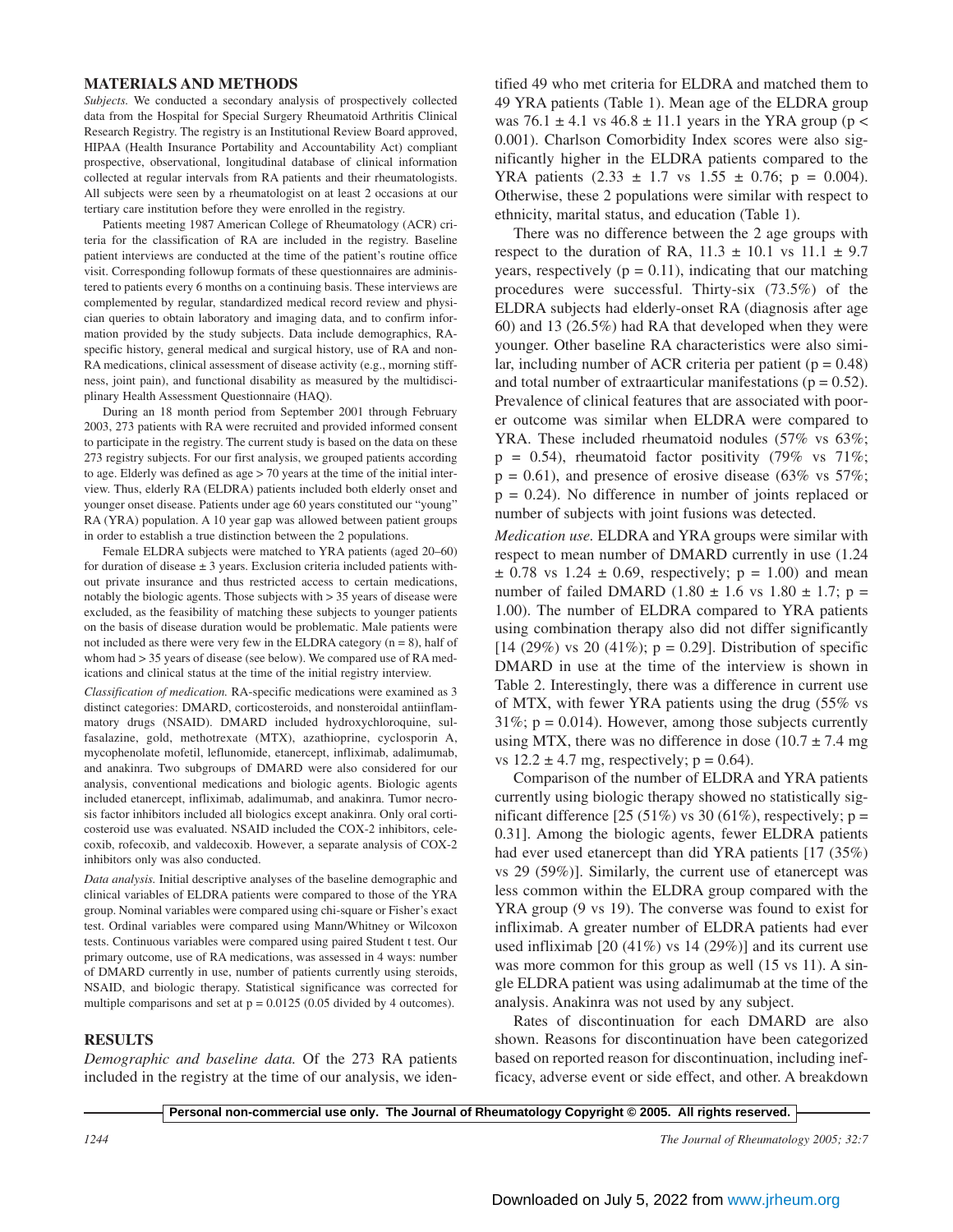## **MATERIALS AND METHODS**

*Subjects.* We conducted a secondary analysis of prospectively collected data from the Hospital for Special Surgery Rheumatoid Arthritis Clinical Research Registry. The registry is an Institutional Review Board approved, HIPAA (Health Insurance Portability and Accountability Act) compliant prospective, observational, longitudinal database of clinical information collected at regular intervals from RA patients and their rheumatologists. All subjects were seen by a rheumatologist on at least 2 occasions at our tertiary care institution before they were enrolled in the registry.

Patients meeting 1987 American College of Rheumatology (ACR) criteria for the classification of RA are included in the registry. Baseline patient interviews are conducted at the time of the patient's routine office visit. Corresponding followup formats of these questionnaires are administered to patients every 6 months on a continuing basis. These interviews are complemented by regular, standardized medical record review and physician queries to obtain laboratory and imaging data, and to confirm information provided by the study subjects. Data include demographics, RAspecific history, general medical and surgical history, use of RA and non-RA medications, clinical assessment of disease activity (e.g., morning stiffness, joint pain), and functional disability as measured by the multidisciplinary Health Assessment Questionnaire (HAQ).

During an 18 month period from September 2001 through February 2003, 273 patients with RA were recruited and provided informed consent to participate in the registry. The current study is based on the data on these 273 registry subjects. For our first analysis, we grouped patients according to age. Elderly was defined as age > 70 years at the time of the initial interview. Thus, elderly RA (ELDRA) patients included both elderly onset and younger onset disease. Patients under age 60 years constituted our "young" RA (YRA) population. A 10 year gap was allowed between patient groups in order to establish a true distinction between the 2 populations.

Female ELDRA subjects were matched to YRA patients (aged 20–60) for duration of disease  $\pm 3$  years. Exclusion criteria included patients without private insurance and thus restricted access to certain medications, notably the biologic agents. Those subjects with > 35 years of disease were excluded, as the feasibility of matching these subjects to younger patients on the basis of disease duration would be problematic. Male patients were not included as there were very few in the ELDRA category  $(n = 8)$ , half of whom had  $> 35$  years of disease (see below). We compared use of RA medications and clinical status at the time of the initial registry interview.

*Classification of medication.* RA-specific medications were examined as 3 distinct categories: DMARD, corticosteroids, and nonsteroidal antiinflammatory drugs (NSAID). DMARD included hydroxychloroquine, sulfasalazine, gold, methotrexate (MTX), azathioprine, cyclosporin A, mycophenolate mofetil, leflunomide, etanercept, infliximab, adalimumab, and anakinra. Two subgroups of DMARD were also considered for our analysis, conventional medications and biologic agents. Biologic agents included etanercept, infliximab, adalimumab, and anakinra. Tumor necrosis factor inhibitors included all biologics except anakinra. Only oral corticosteroid use was evaluated. NSAID included the COX-2 inhibitors, celecoxib, rofecoxib, and valdecoxib. However, a separate analysis of COX-2 inhibitors only was also conducted.

*Data analysis.* Initial descriptive analyses of the baseline demographic and clinical variables of ELDRA patients were compared to those of the YRA group. Nominal variables were compared using chi-square or Fisher's exact test. Ordinal variables were compared using Mann/Whitney or Wilcoxon tests. Continuous variables were compared using paired Student t test. Our primary outcome, use of RA medications, was assessed in 4 ways: number of DMARD currently in use, number of patients currently using steroids, NSAID, and biologic therapy. Statistical significance was corrected for multiple comparisons and set at  $p = 0.0125$  (0.05 divided by 4 outcomes).

### **RESULTS**

*Demographic and baseline data.* Of the 273 RA patients included in the registry at the time of our analysis, we identified 49 who met criteria for ELDRA and matched them to 49 YRA patients (Table 1). Mean age of the ELDRA group was 76.1  $\pm$  4.1 vs 46.8  $\pm$  11.1 years in the YRA group (p < 0.001). Charlson Comorbidity Index scores were also significantly higher in the ELDRA patients compared to the YRA patients  $(2.33 \pm 1.7 \text{ vs } 1.55 \pm 0.76; \text{ p} = 0.004)$ . Otherwise, these 2 populations were similar with respect to ethnicity, marital status, and education (Table 1).

There was no difference between the 2 age groups with respect to the duration of RA,  $11.3 \pm 10.1$  vs  $11.1 \pm 9.7$ years, respectively ( $p = 0.11$ ), indicating that our matching procedures were successful. Thirty-six (73.5%) of the ELDRA subjects had elderly-onset RA (diagnosis after age 60) and 13 (26.5%) had RA that developed when they were younger. Other baseline RA characteristics were also similar, including number of ACR criteria per patient ( $p = 0.48$ ) and total number of extraarticular manifestations ( $p = 0.52$ ). Prevalence of clinical features that are associated with poorer outcome was similar when ELDRA were compared to YRA. These included rheumatoid nodules (57% vs 63%;  $p = 0.54$ ), rheumatoid factor positivity (79% vs 71%;  $p = 0.61$ ), and presence of erosive disease (63% vs 57%;  $p = 0.24$ ). No difference in number of joints replaced or number of subjects with joint fusions was detected.

*Medication use.* ELDRA and YRA groups were similar with respect to mean number of DMARD currently in use (1.24  $\pm$  0.78 vs 1.24  $\pm$  0.69, respectively; p = 1.00) and mean number of failed DMARD (1.80  $\pm$  1.6 vs 1.80  $\pm$  1.7; p = 1.00). The number of ELDRA compared to YRA patients using combination therapy also did not differ significantly [14 (29%) vs 20 (41%);  $p = 0.29$ ]. Distribution of specific DMARD in use at the time of the interview is shown in Table 2. Interestingly, there was a difference in current use of MTX, with fewer YRA patients using the drug (55% vs  $31\%$ ; p = 0.014). However, among those subjects currently using MTX, there was no difference in dose  $(10.7 \pm 7.4 \text{ mg})$ vs  $12.2 \pm 4.7$  mg, respectively;  $p = 0.64$ ).

Comparison of the number of ELDRA and YRA patients currently using biologic therapy showed no statistically significant difference  $[25 (51\%)$  vs 30 (61%), respectively; p = 0.31]. Among the biologic agents, fewer ELDRA patients had ever used etanercept than did YRA patients [17 (35%) vs 29 (59%)]. Similarly, the current use of etanercept was less common within the ELDRA group compared with the YRA group (9 vs 19). The converse was found to exist for infliximab. A greater number of ELDRA patients had ever used infliximab [20 (41%) vs 14 (29%)] and its current use was more common for this group as well (15 vs 11). A single ELDRA patient was using adalimumab at the time of the analysis. Anakinra was not used by any subject.

Rates of discontinuation for each DMARD are also shown. Reasons for discontinuation have been categorized based on reported reason for discontinuation, including inefficacy, adverse event or side effect, and other. A breakdown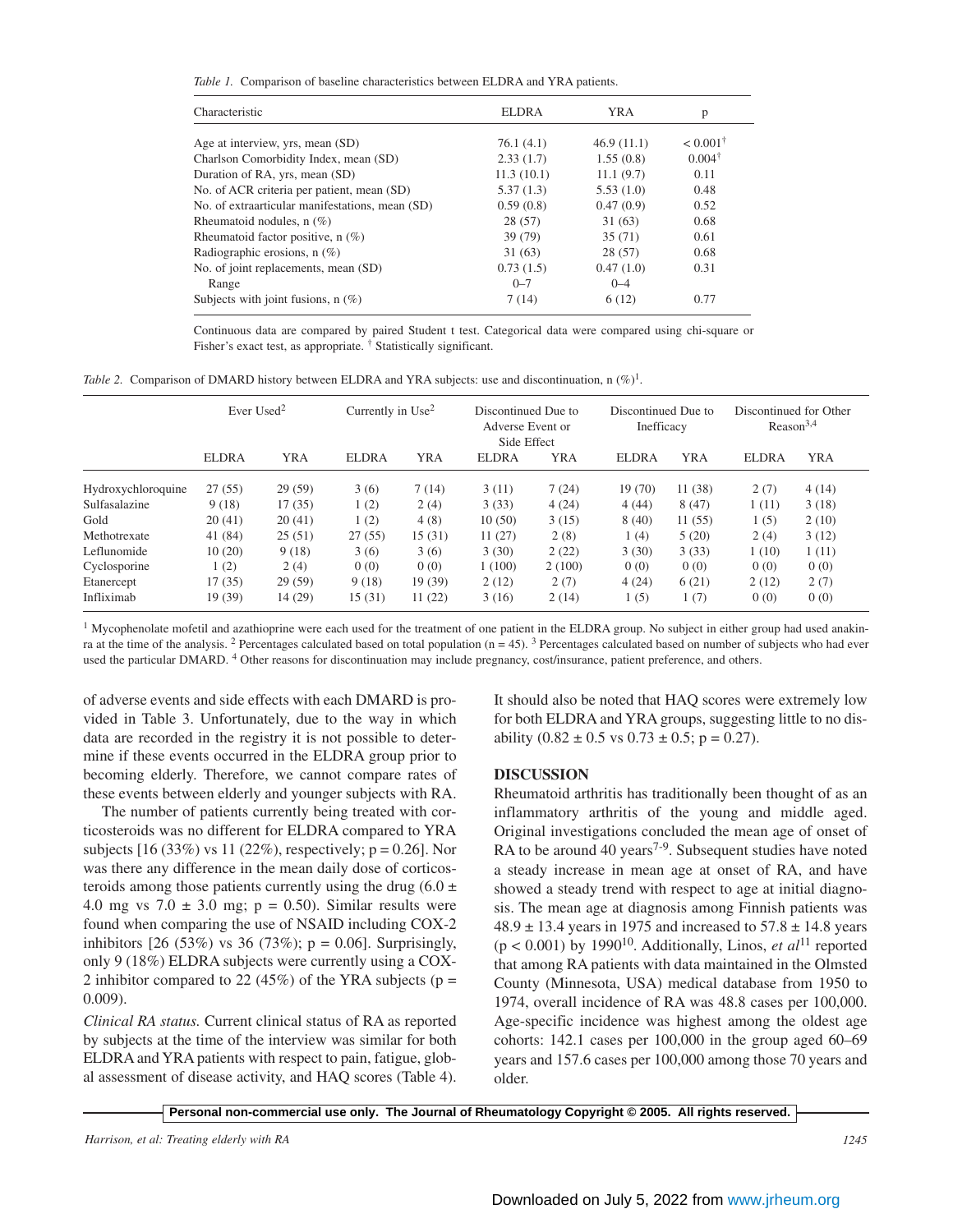*Table 1.* Comparison of baseline characteristics between ELDRA and YRA patients.

| Characteristic                                  | ELDRA      | YRA        | p                   |
|-------------------------------------------------|------------|------------|---------------------|
|                                                 |            |            | $< 0.001^{\dagger}$ |
| Age at interview, yrs, mean (SD)                | 76.1(4.1)  | 46.9(11.1) |                     |
| Charlson Comorbidity Index, mean (SD)           | 2.33(1.7)  | 1.55(0.8)  | $0.004^{\dagger}$   |
| Duration of RA, yrs, mean (SD)                  | 11.3(10.1) | 11.1(9.7)  | 0.11                |
| No. of ACR criteria per patient, mean (SD)      | 5.37(1.3)  | 5.53(1.0)  | 0.48                |
| No. of extraarticular manifestations, mean (SD) | 0.59(0.8)  | 0.47(0.9)  | 0.52                |
| Rheumatoid nodules, $n$ (%)                     | 28(57)     | 31 (63)    | 0.68                |
| Rheumatoid factor positive, $n$ (%)             | 39 (79)    | 35(71)     | 0.61                |
| Radiographic erosions, $n$ (%)                  | 31(63)     | 28 (57)    | 0.68                |
| No. of joint replacements, mean (SD)            | 0.73(1.5)  | 0.47(1.0)  | 0.31                |
| Range                                           | $0 - 7$    | $0 - 4$    |                     |
| Subjects with joint fusions, $n(\%)$            | 7(14)      | 6(12)      | 0.77                |

Continuous data are compared by paired Student t test. Categorical data were compared using chi-square or Fisher's exact test, as appropriate. † Statistically significant.

*Table 2.* Comparison of DMARD history between ELDRA and YRA subjects: use and discontinuation, n  $(\%)^1$ .

|                    | Ever Used <sup>2</sup> |            | Currently in $Use2$ |            | Discontinued Due to<br>Adverse Event or<br>Side Effect |            | Discontinued Due to<br>Inefficacy |            | Discontinued for Other<br>Reason <sup>3,4</sup> |            |
|--------------------|------------------------|------------|---------------------|------------|--------------------------------------------------------|------------|-----------------------------------|------------|-------------------------------------------------|------------|
|                    | <b>ELDRA</b>           | <b>YRA</b> | <b>ELDRA</b>        | <b>YRA</b> | <b>ELDRA</b>                                           | <b>YRA</b> | <b>ELDRA</b>                      | <b>YRA</b> | <b>ELDRA</b>                                    | <b>YRA</b> |
| Hydroxychloroquine | 27(55)                 | 29(59)     | 3(6)                | 7(14)      | 3(11)                                                  | 7(24)      | 19 (70)                           | 11(38)     | 2(7)                                            | 4(14)      |
| Sulfasalazine      | 9(18)                  | 17(35)     | 1(2)                | 2(4)       | 3(33)                                                  | 4(24)      | 4(44)                             | 8(47)      | 1(11)                                           | 3(18)      |
| Gold               | 20(41)                 | 20(41)     | 1(2)                | 4(8)       | 10(50)                                                 | 3(15)      | 8(40)                             | 11(55)     | 1(5)                                            | 2(10)      |
| Methotrexate       | 41 (84)                | 25(51)     | 27(55)              | 15(31)     | 11(27)                                                 | 2(8)       | 1(4)                              | 5(20)      | 2(4)                                            | 3(12)      |
| Leflunomide        | 10(20)                 | 9(18)      | 3(6)                | 3(6)       | 3(30)                                                  | 2(22)      | 3(30)                             | 3(33)      | 1(10)                                           | 1(11)      |
| Cyclosporine       | 1(2)                   | 2(4)       | 0(0)                | 0(0)       | 1(100)                                                 | 2(100)     | 0(0)                              | 0(0)       | 0(0)                                            | 0(0)       |
| Etanercept         | 17(35)                 | 29(59)     | 9(18)               | 19 (39)    | 2(12)                                                  | 2(7)       | 4(24)                             | 6(21)      | 2(12)                                           | 2(7)       |
| Infliximab         | 19(39)                 | 14 (29)    | 15(31)              | 11(22)     | 3(16)                                                  | 2(14)      | 1(5)                              | 1(7)       | 0(0)                                            | 0(0)       |

<sup>1</sup> Mycophenolate mofetil and azathioprine were each used for the treatment of one patient in the ELDRA group. No subject in either group had used anakinra at the time of the analysis. <sup>2</sup> Percentages calculated based on total population ( $n = 45$ ). <sup>3</sup> Percentages calculated based on number of subjects who had ever used the particular DMARD. <sup>4</sup> Other reasons for discontinuation may include pregnancy, cost/insurance, patient preference, and others.

of adverse events and side effects with each DMARD is provided in Table 3. Unfortunately, due to the way in which data are recorded in the registry it is not possible to determine if these events occurred in the ELDRA group prior to becoming elderly. Therefore, we cannot compare rates of these events between elderly and younger subjects with RA.

The number of patients currently being treated with corticosteroids was no different for ELDRA compared to YRA subjects  $[16 (33\%)$  vs  $11 (22\%)$ , respectively;  $p = 0.26$ . Nor was there any difference in the mean daily dose of corticosteroids among those patients currently using the drug  $(6.0 \pm$ 4.0 mg vs  $7.0 \pm 3.0$  mg; p = 0.50). Similar results were found when comparing the use of NSAID including COX-2 inhibitors  $[26 (53\%)$  vs 36  $(73\%)$ ; p = 0.06]. Surprisingly, only 9 (18%) ELDRA subjects were currently using a COX-2 inhibitor compared to 22 (45%) of the YRA subjects ( $p =$ 0.009).

*Clinical RA status.* Current clinical status of RA as reported by subjects at the time of the interview was similar for both ELDRA and YRA patients with respect to pain, fatigue, global assessment of disease activity, and HAQ scores (Table 4). It should also be noted that HAQ scores were extremely low for both ELDRA and YRA groups, suggesting little to no disability  $(0.82 \pm 0.5 \text{ vs } 0.73 \pm 0.5; \text{ p} = 0.27)$ .

## **DISCUSSION**

Rheumatoid arthritis has traditionally been thought of as an inflammatory arthritis of the young and middle aged. Original investigations concluded the mean age of onset of RA to be around 40 years<sup> $7-9$ </sup>. Subsequent studies have noted a steady increase in mean age at onset of RA, and have showed a steady trend with respect to age at initial diagnosis. The mean age at diagnosis among Finnish patients was  $48.9 \pm 13.4$  years in 1975 and increased to  $57.8 \pm 14.8$  years  $(p < 0.001)$  by 1990<sup>10</sup>. Additionally, Linos, *et al*<sup>11</sup> reported that among RA patients with data maintained in the Olmsted County (Minnesota, USA) medical database from 1950 to 1974, overall incidence of RA was 48.8 cases per 100,000. Age-specific incidence was highest among the oldest age cohorts: 142.1 cases per 100,000 in the group aged 60–69 years and 157.6 cases per 100,000 among those 70 years and older.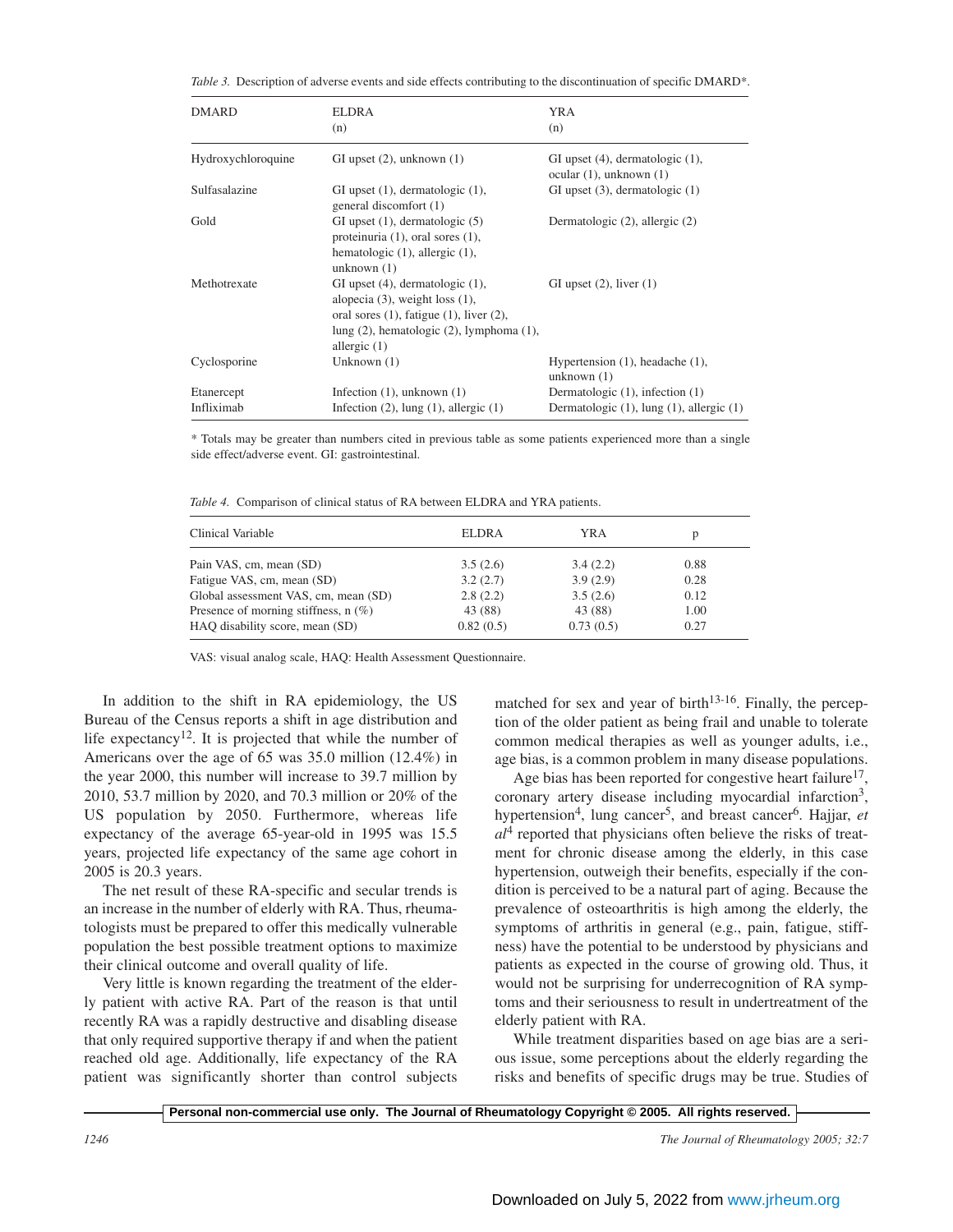| Table 3. Description of adverse events and side effects contributing to the discontinuation of specific DMARD*. |  |  |
|-----------------------------------------------------------------------------------------------------------------|--|--|
|                                                                                                                 |  |  |

| <b>DMARD</b>       | <b>ELDRA</b><br>(n)                                                                                                                                                                                      | <b>YRA</b><br>(n)                                               |
|--------------------|----------------------------------------------------------------------------------------------------------------------------------------------------------------------------------------------------------|-----------------------------------------------------------------|
| Hydroxychloroquine | GI upset $(2)$ , unknown $(1)$                                                                                                                                                                           | GI upset (4), dermatologic (1),<br>ocular $(1)$ , unknown $(1)$ |
| Sulfasalazine      | GI upset $(1)$ , dermatologic $(1)$ ,<br>general discomfort (1)                                                                                                                                          | GI upset $(3)$ , dermatologic $(1)$                             |
| Gold               | GI upset $(1)$ , dermatologic $(5)$<br>proteinuria $(1)$ , oral sores $(1)$ ,<br>hematologic $(1)$ , allergic $(1)$ ,<br>unknown $(1)$                                                                   | Dermatologic (2), allergic (2)                                  |
| Methotrexate       | GI upset $(4)$ , dermatologic $(1)$ ,<br>alopecia $(3)$ , weight loss $(1)$ ,<br>oral sores $(1)$ , fatigue $(1)$ , liver $(2)$ ,<br>lung $(2)$ , hematologic $(2)$ , lymphoma $(1)$ ,<br>allergic $(1)$ | GI upset $(2)$ , liver $(1)$                                    |
| Cyclosporine       | Unknown $(1)$                                                                                                                                                                                            | Hypertension $(1)$ , headache $(1)$ ,<br>unknown $(1)$          |
| Etanercept         | Infection $(1)$ , unknown $(1)$                                                                                                                                                                          | Dermatologic $(1)$ , infection $(1)$                            |
| Infliximab         | Infection $(2)$ , lung $(1)$ , allergic $(1)$                                                                                                                                                            | Dermatologic $(1)$ , lung $(1)$ , allergic $(1)$                |

\* Totals may be greater than numbers cited in previous table as some patients experienced more than a single side effect/adverse event. GI: gastrointestinal.

*Table 4.* Comparison of clinical status of RA between ELDRA and YRA patients.

| Clinical Variable                      | <b>ELDRA</b> | YRA       | D    |
|----------------------------------------|--------------|-----------|------|
| Pain VAS, cm, mean (SD)                | 3.5(2.6)     | 3.4(2.2)  | 0.88 |
| Fatigue VAS, cm, mean (SD)             | 3.2(2.7)     | 3.9(2.9)  | 0.28 |
| Global assessment VAS, cm, mean (SD)   | 2.8(2.2)     | 3.5(2.6)  | 0.12 |
| Presence of morning stiffness, $n$ (%) | 43 (88)      | 43 (88)   | 1.00 |
| HAQ disability score, mean (SD)        | 0.82(0.5)    | 0.73(0.5) | 0.27 |

VAS: visual analog scale, HAQ: Health Assessment Questionnaire.

In addition to the shift in RA epidemiology, the US Bureau of the Census reports a shift in age distribution and life expectancy12. It is projected that while the number of Americans over the age of 65 was 35.0 million (12.4%) in the year 2000, this number will increase to 39.7 million by 2010, 53.7 million by 2020, and 70.3 million or 20% of the US population by 2050. Furthermore, whereas life expectancy of the average 65-year-old in 1995 was 15.5 years, projected life expectancy of the same age cohort in 2005 is 20.3 years.

The net result of these RA-specific and secular trends is an increase in the number of elderly with RA. Thus, rheumatologists must be prepared to offer this medically vulnerable population the best possible treatment options to maximize their clinical outcome and overall quality of life.

Very little is known regarding the treatment of the elderly patient with active RA. Part of the reason is that until recently RA was a rapidly destructive and disabling disease that only required supportive therapy if and when the patient reached old age. Additionally, life expectancy of the RA patient was significantly shorter than control subjects matched for sex and year of birth<sup>13-16</sup>. Finally, the perception of the older patient as being frail and unable to tolerate common medical therapies as well as younger adults, i.e., age bias, is a common problem in many disease populations.

Age bias has been reported for congestive heart failure<sup>17</sup>, coronary artery disease including myocardial infarction<sup>3</sup>, hypertension<sup>4</sup>, lung cancer<sup>5</sup>, and breast cancer<sup>6</sup>. Hajjar, *et*  $al<sup>4</sup>$  reported that physicians often believe the risks of treatment for chronic disease among the elderly, in this case hypertension, outweigh their benefits, especially if the condition is perceived to be a natural part of aging. Because the prevalence of osteoarthritis is high among the elderly, the symptoms of arthritis in general (e.g., pain, fatigue, stiffness) have the potential to be understood by physicians and patients as expected in the course of growing old. Thus, it would not be surprising for underrecognition of RA symptoms and their seriousness to result in undertreatment of the elderly patient with RA.

While treatment disparities based on age bias are a serious issue, some perceptions about the elderly regarding the risks and benefits of specific drugs may be true. Studies of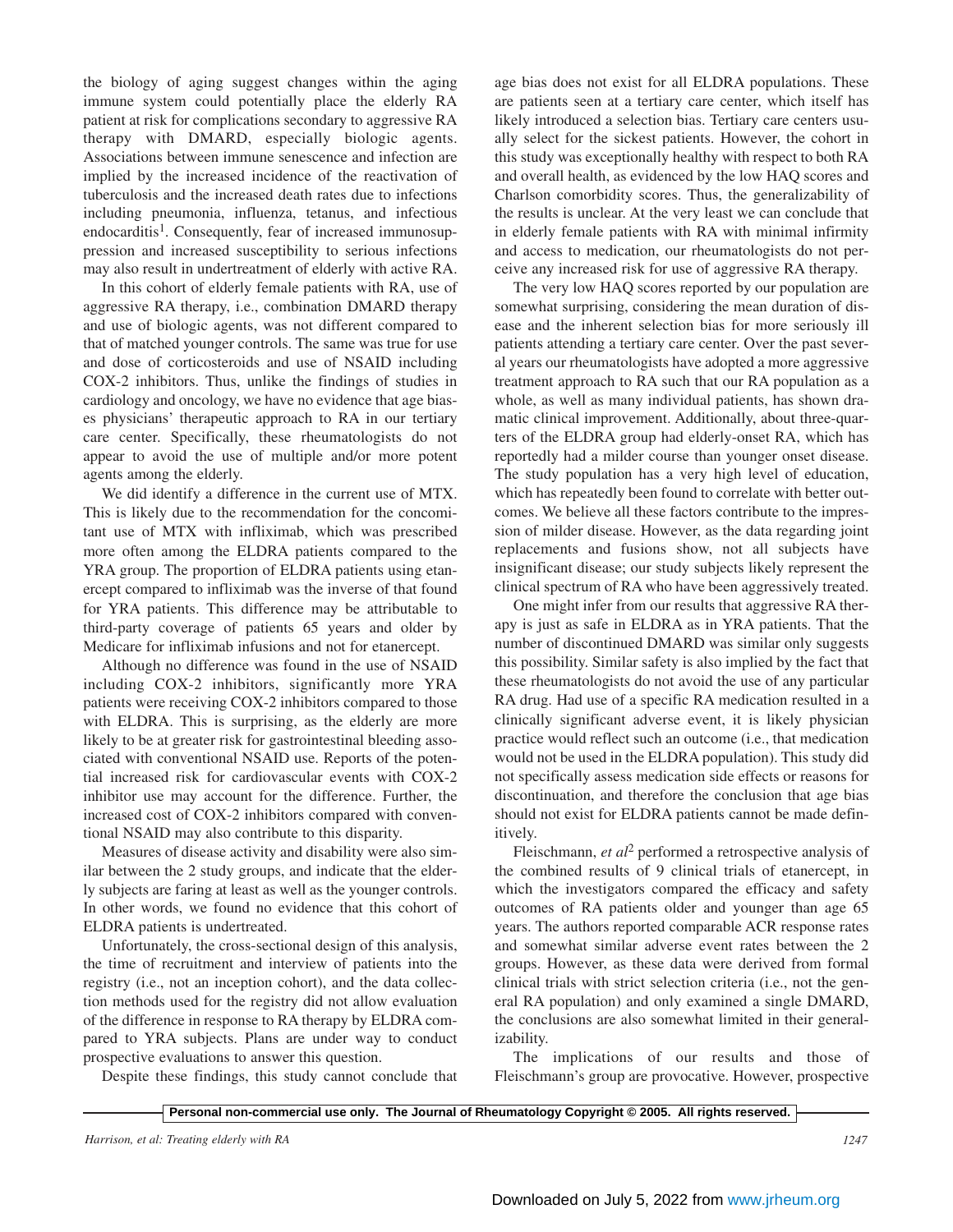the biology of aging suggest changes within the aging immune system could potentially place the elderly RA patient at risk for complications secondary to aggressive RA therapy with DMARD, especially biologic agents. Associations between immune senescence and infection are implied by the increased incidence of the reactivation of tuberculosis and the increased death rates due to infections including pneumonia, influenza, tetanus, and infectious endocarditis<sup>1</sup>. Consequently, fear of increased immunosuppression and increased susceptibility to serious infections may also result in undertreatment of elderly with active RA.

In this cohort of elderly female patients with RA, use of aggressive RA therapy, i.e., combination DMARD therapy and use of biologic agents, was not different compared to that of matched younger controls. The same was true for use and dose of corticosteroids and use of NSAID including COX-2 inhibitors. Thus, unlike the findings of studies in cardiology and oncology, we have no evidence that age biases physicians' therapeutic approach to RA in our tertiary care center. Specifically, these rheumatologists do not appear to avoid the use of multiple and/or more potent agents among the elderly.

We did identify a difference in the current use of MTX. This is likely due to the recommendation for the concomitant use of MTX with infliximab, which was prescribed more often among the ELDRA patients compared to the YRA group. The proportion of ELDRA patients using etanercept compared to infliximab was the inverse of that found for YRA patients. This difference may be attributable to third-party coverage of patients 65 years and older by Medicare for infliximab infusions and not for etanercept.

Although no difference was found in the use of NSAID including COX-2 inhibitors, significantly more YRA patients were receiving COX-2 inhibitors compared to those with ELDRA. This is surprising, as the elderly are more likely to be at greater risk for gastrointestinal bleeding associated with conventional NSAID use. Reports of the potential increased risk for cardiovascular events with COX-2 inhibitor use may account for the difference. Further, the increased cost of COX-2 inhibitors compared with conventional NSAID may also contribute to this disparity.

Measures of disease activity and disability were also similar between the 2 study groups, and indicate that the elderly subjects are faring at least as well as the younger controls. In other words, we found no evidence that this cohort of ELDRA patients is undertreated.

Unfortunately, the cross-sectional design of this analysis, the time of recruitment and interview of patients into the registry (i.e., not an inception cohort), and the data collection methods used for the registry did not allow evaluation of the difference in response to RA therapy by ELDRA compared to YRA subjects. Plans are under way to conduct prospective evaluations to answer this question.

Despite these findings, this study cannot conclude that

age bias does not exist for all ELDRA populations. These are patients seen at a tertiary care center, which itself has likely introduced a selection bias. Tertiary care centers usually select for the sickest patients. However, the cohort in this study was exceptionally healthy with respect to both RA and overall health, as evidenced by the low HAQ scores and Charlson comorbidity scores. Thus, the generalizability of the results is unclear. At the very least we can conclude that in elderly female patients with RA with minimal infirmity and access to medication, our rheumatologists do not perceive any increased risk for use of aggressive RA therapy.

The very low HAQ scores reported by our population are somewhat surprising, considering the mean duration of disease and the inherent selection bias for more seriously ill patients attending a tertiary care center. Over the past several years our rheumatologists have adopted a more aggressive treatment approach to RA such that our RA population as a whole, as well as many individual patients, has shown dramatic clinical improvement. Additionally, about three-quarters of the ELDRA group had elderly-onset RA, which has reportedly had a milder course than younger onset disease. The study population has a very high level of education, which has repeatedly been found to correlate with better outcomes. We believe all these factors contribute to the impression of milder disease. However, as the data regarding joint replacements and fusions show, not all subjects have insignificant disease; our study subjects likely represent the clinical spectrum of RA who have been aggressively treated.

One might infer from our results that aggressive RA therapy is just as safe in ELDRA as in YRA patients. That the number of discontinued DMARD was similar only suggests this possibility. Similar safety is also implied by the fact that these rheumatologists do not avoid the use of any particular RA drug. Had use of a specific RA medication resulted in a clinically significant adverse event, it is likely physician practice would reflect such an outcome (i.e., that medication would not be used in the ELDRA population). This study did not specifically assess medication side effects or reasons for discontinuation, and therefore the conclusion that age bias should not exist for ELDRA patients cannot be made definitively.

Fleischmann, *et al*<sup>2</sup> performed a retrospective analysis of the combined results of 9 clinical trials of etanercept, in which the investigators compared the efficacy and safety outcomes of RA patients older and younger than age 65 years. The authors reported comparable ACR response rates and somewhat similar adverse event rates between the 2 groups. However, as these data were derived from formal clinical trials with strict selection criteria (i.e., not the general RA population) and only examined a single DMARD, the conclusions are also somewhat limited in their generalizability.

The implications of our results and those of Fleischmann's group are provocative. However, prospective